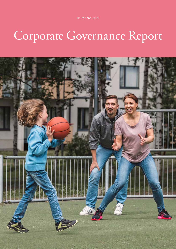HUMANA 2019

# Corporate Governance Report

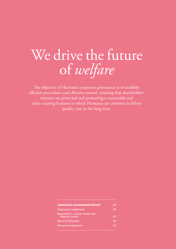# We drive the future of *welfare*

The objective of Humana's corporate governance is to establish efficient procedures and effective control, ensuring that shareholders' interests are protected and promoting a sustainable and value-creating business in which Humana can continue to deliver quality care in the long term.

| 42       |
|----------|
| $\Delta$ |
| 43       |
| 52       |
| 54       |
|          |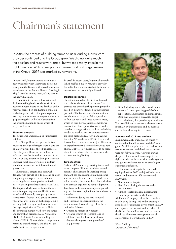## Chairman's statement

In 2019, the process of building Humana as a leading Nordic care provider continued and the Group grew. We did not quite reach the position and results we wanted, but we took many steps in the right direction. With a new principal owner and a strategic review of the Group, 2019 was marked by new starts.

In early 2019, Humana found itself with a new principal owner. There were also some changes to the Board, with several new members elected at the Annual General Meeting in May. I was also among them, taking over as the new Chairman.

In addition to normal information and decision-making business, the work of the newly composed Board in the first half of the year was focused on conducting a situation analysis together with Group management, working on medium-term targets and strategic planning that will take Humana from the present situation to one in which all targets will be met.

#### Situation analysis

The situational analysis can be summarised as follows:

As a Group, Humana operates in four countries and our offering in Nordic care can be largely divided into three business areas. Over the years, Humana has built up an infrastructure that is leading in terms of systematic quality assurance, being an attractive employer, work on core values, a uniform brand and a structure for information and governance.

The financial targets have been well defined, with growth of 8-10 percent, an operating margin of 6 percent and debt not exceeding three annual profits, defined as interest-bearing net debt relative to EBITDA. The targets, which were set before the new financial reporting standard IFRS 16 was introduced, have only been partly met in recent years. Growth in 2019 was 11 percent, which was well in line with the target, but it was largely driven by acquisitions, such as the large acquisition of Coronaria Hoiva. The operating margin was below the target and lower than previous years. Net debt to EBITDA of 5.4 (4.0 times excluding the effects of IFRS 16), was higher than previous years and than the target, and this was precisely due to large acquisitions.

In brief: In recent years, Humana has established itself as a major, reputable provider for individuals and society, but the financial targets have not been fully achieved.

#### Strategic planning

The situation analysis has in turn formed the basis for the strategic planning. The premise has been that the planning must be based on clear prioritisation in the business portfolio. The Group is a coherent unit and not the sum of its parts. With operations in four countries and three business areas, which in turn have separate segments, we can see that clearer prioritisation is needed based on strategic criteria, such as underlying needs and market, relative competitiveness, expected profitability, growth and capital intensity. When the new IFRS 16 standard is considered, there are also major differences in capital intensity between the various operations, as IFRS 16 requires leases to be recognised in the balance sheet as an asset with a corresponding liability.

#### Target setting

As from 2020, our target setting is new and more complete. This was made for several reasons. The changed financial reporting standard has had an impact on the income statement and balance sheet. To understand value creation, there must be a clearer distinction between organic and acquired growth. Finally, in addition to earnings and growth, a greater focus on capital intensity and return is needed.

After considering the new standard and Humana's financial situation, the medium-term financial targets have been defined as follows:

- Operating margin of 7 percent
- Organic growth of 5 percent (and in addition, small bolt-on acquisitions that may bring structural growth of 2–3 percent)



• Debt, including rental debt, that does not exceed 4.5 times operating profit before depreciation, amortisation and impairment. Debt may temporarily exceed the target level, which may happen during acquisitions. The overall financial targets are broken down internally by business area and by business

and include clear required returns.

#### Summary of 2019 and outlook

In summary, 2019 was a year in which we continued to build Humana, and the Group grew. We did not quite reach the position and results we wanted, and the financial targets were not fully achieved. However, during the year, Humana took many steps in the right direction at the same time as the systematic quality work resulted in an even higher customer satisfaction.

Humana as a Group is therefore well equipped to face 2020 with justified expectations and optimism. We have entered 2020 with:

- New financial targets
- Plans for achieving the targets in the medium term
- A much stricter financial prioritisation from the perspective of the Group All Humana's employees have been involved in delivering during 2019 and in creating a good basis for continued development in 2020 and beyond. For my part, and on behalf of the Board, I would like to extend our warm thanks to Humana's management and all employees for a job well done in 2019!

Sören Mellstig *Chairman of the Board*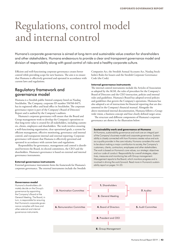## Regulations, control model and internal control

Humana's corporate governance is aimed at long-term and sustainable value creation for shareholders and other stakeholders. Humana endeavours to provide a clear and transparent governance model and division of responsibility along with good control of risks and a healthy corporate culture.

Efficient and well-functioning corporate governance creates better control while providing scope for new business. The aim is to ensure that Humana is effectively governed and operated in accordance with current laws and regulations.

### Regulatory framework and governance model

Humana is a Swedish public limited company listed on Nasdaq Stockholm. The Company, corporate ID number 556760-8475, has its registered office and head office in Stockholm. The corporate governance report is part of the Company's Board of Directors' Report and is audited by the Company's auditors.

Humana's corporate governance will ensure that the Board and Group management work to develop the Company's operations so that long-term value is created for all stakeholders, including customers, clients, employees and shareholders. The work involves ensuring a well-functioning organisation, clear operational goals, a system for efficient management, effective monitoring, governance and internal control, and transparent internal and external reporting. Corporate governance will ensure that Humana is effectively governed and operated in accordance with current laws and regulations.

Responsibility for governance, management and control is distributed between the Board, its elected committees, the CEO and the shareholders. Humana's governance is based on external and internal governance instruments.

#### External governance instruments

External governance instruments form the framework for Humana's corporate governance. The external instruments include the Swedish Companies Act, the Swedish Annual Accounts Act, Nasdaq Stockholm's Rules for Issuers and the Swedish Corporate Governance Code (the Code).

#### Internal governance instruments

The internal control instruments include the Articles of Association as adopted by the AGM, the rules of procedure for the Company's Board of Directors and the CEO instruction, policies and internal rules and guidelines. Humana's Board has adopted several policies and guidelines that govern the Company's operations. Humana has also adopted a set of instructions for financial reporting that are documented in the Company's financial manual. Alongside the above-mentioned internal documentation, Humana follows a Groupwide vision, a business concept and four clearly defined target areas.

The structure and different components of Humana's corporate governance are shown in the illustration below:

#### Sustainability work and governance at Humana

At Humana, sustainability governance and work are an integral part of the Company's business model and corporate governance. Sustainability is closely connected with how Humana creates value and acts as a quality provider in the care industry. Humana considers this work to be about making a major contribution to society, the Company's customers, clients, contractors, employees and other stakeholders. The work is based on Humana's core values, our strategic objectives and our code of conduct. Responsibility for overall strategies, objectives, measures and monitoring lies with Group management. Management reports to the Board, which monitors progress and is involved in driving the work forward. Read more in Humana's sustainability report on pages 14–23.

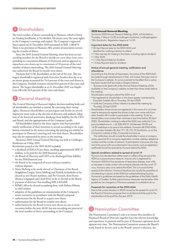## 1 Shareholders

The total number of shares outstanding in Humana, which is listed on Nasdaq Stockholm, is 53,140,064. All shares carry the same rights to the Company's earnings and capital. The Company's registered share capital on 31 December 2019 amounted to SEK 1,180,879. There is no provision in Humana AB's articles of association restricting the transfer of shares.

Since the 2019 Annual General Meeting, there has been an outstanding mandate for the Board to decide on a new share issue corresponding to a maximum dilution of 10 percent and an approval to repurchase own shares up to a maximum of 10 percent of the total number of shares outstanding. The 2019 Annual General Meeting also authorised the Board to transfer own shares.

Humana had 3,746 shareholders at the end of the year. The ten largest shareholders registered with Euroclear Sweden directly or as an owner group accounted for 74.4 percent of the votes and shares in the Company. Swedish investors owned 49.8 percent of the votes and shares. The largest shareholder as at 31 December 2019 was Impilo Care AB with 20.0 percent of the votes and shares.

## **2 General Meeting**

The General Meeting is Humana's highest decision-making body and all shareholders are entitled to attend. By exercising their voting rights, Humana's shareholders can participate and decide on several important issues such as the election of directors and auditors, adoption of the financial statements, discharge from liability for the CEO and Board, and the appropriation of the Company's profit.

All shareholders listed in the share register who have provided timely notification of their intention to attend according to the regulations contained in the notice convening the meeting are entitled to participate in Humana's meeting and vote their shares. Shareholders may also be represented by proxy at the meeting.

Humana's 2019 Annual General Meeting was held at Lindhagen Konferens on 9 May 2019.

Resolutions passed at the 2019 AGM included:

- a dividend of SEK 0.70 per share, totalling approximately SEK 37 million, to be paid for the 2018 financial year
- the Board of Directors and CEO to be discharged from liability for the 2018 financial year
- the Board to be composed of seven ordinary members without deputies
- Sören Mellstig to be newly elected as Chairman of the Board, Magdalena Gerger, Sören Mellstig and Fredrik Strömholm to be elected as new Board members, and Per Granath, Kirsi Komi, Monica Lingegård and Lloyd Perry to be re-elected to the Board
- payment of directors' fees totalling SEK 2,035,000
- KPMG AB to be elected as auditing firm, with Helena Nilsson as chief auditor
- adoption of the guidelines on remuneration of the Company's senior executives in accordance with the Board's proposal
- authorisation for the Board to acquire own shares
- authorisation for the Board to transfer own shares
- authorisation for the Board to issue new shares on one or more occasions before the next AGM, but not exceeding ten percent of the total number of shares outstanding in the Company

#### 2020 Annual General Meeting

Humana's 2020 Annual General Meeting, AGM, will be held on Thursday, 7 May at 15.00 at Lindhagen Konferens, Lindhagensgatan 126, Stockholm. Registration begins at 14.30.

#### Important dates for the 2020 AGM

- 30 April Record date for the 2020 AGM and deadline for notifying intention to attend
- 7 May Last day for trading in the share, including right to dividend • 7 May AGM
- 11 May Record date for dividend
- 14 May Payment date for dividend

#### Notice of annual general meeting, notification and attendance

According to the Articles of Association, the notice of the AGM shall be made through advertisement in Post- och Inrikes Tidningar and on the Company's website. An announcement to the effect that a notice has been issued shall be made in Dagens Industri.

Business to be dealt with at the Annual General Meeting will be available on the Company's website no later than three weeks before the meeting.

Shareholders wishing to attend the AGM must

- be registered as shareholders in the share register maintained by Euroclear Sweden AB on Thursday, 30 April 2020
- notify the Company of their intention to attend the meeting by Thursday, 30 April 2020

Shareholders whose shares are registered in the name of a nominee need to temporarily register the shares in their own name with Euroclear Sweden AB in order to participate in the meeting. To do so, shareholders must contact their nominee in due time before 30 April 2020. Shareholders wishing to attend the AGM may notify the Company by telephone on +46 (0)8-402 91 60 between 09.00 and 16.00 weekdays or by post at this address: Humana AB 2020 AGM, c/o Euroclear Sweden AB, Box 191, SE-101 23 Stockholm, or on the Company's website at http://corporate.humana.se.

The notification should include the shareholder's name or company name, personal ID or company registration number, address, telephone number and the number of advisors. If participation is by proxy, the original of the proxy (with any authorisation documents, such as registration certificate) should be received by Humana before the AGM.

#### Special conditions related to spread of covid-19

Humana has decided that neither food or coffee will be served at the AGM as a precautionary measure. Anyone who is reaistered for Humana's AGM but has symptoms of respiratory disease, even mild, or has been in close contact with someone infected with the covid-19 virus, Humana asks not to attend the AGM. This is to avoid further spread of the infection. Humana therefore also recalls the possibility of not attending in person at the AGM but instead attending by proxy. Humanity's guidelines are based on the guidelines of the Public Health Agency of Sweden. Further precautionary measures may be taken if the guidelines are changed or if Humana assesses it is suitable to do so.

#### Proposals for resolution at the 2020 AGM

Due to the current situation in 2020 caused by the spread of covid-19, the Board of Directors proposes that no dividend shall be paid to the shareholders of the profit for the year 2019.

## **3 Nomination Committee**

The Nomination Committee's task is to ensure that members of Humana's Board of Directors together have the relevant knowledge and experience to promote and be part of Humana's optimum development over time. The Nomination Committee assesses the Board's work, based on factors such as the Board's annual evaluation, the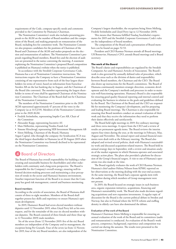requirements of the Code, company-specific needs and comments provided to the Committee by Humana's Chairman.

The Nomination Committee's work also includes presenting proposals to the AGM on the number of Board members and the composition of the Board, and making proposals on remuneration of the Board, including fees for committee work. The Nomination Committee also proposes candidates for the positions of Chairman of the Board and Chairman of the AGM and makes proposals on the election and remuneration of auditors. The Nomination Committee's proposals regarding Board members, Board fees and the election of auditors are presented in the notice convening the meeting. A statement explaining the Nomination Committee's proposed Board composition is published on Humana's website when the notice is published.

In accordance with the Swedish Corporate Governance Code, Humana has a set of Nomination Committee instructions. The instructions require the Company to have a Nomination Committee consisting of one representative from each of the four largest shareholders (in terms of votes), based on information from Euroclear Sweden AB on the last banking day in August, and the Chairman of the Board (the convener). The member representing the largest shareholder in terms of votes shall be appointed Chairman of the Nomination Committee. The Chairman of the Board shall not be Chairman of the Nomination Committee.

The members of the Nomination Committee prior to the 2020 AGM represented approximately 47 percent of the votes in the Company (as at 31/12/19). Members of the Nomination Committee prior to the 2020 AGM:

- Fredrik Strömholm, representing Impilo Care AB, Chair of the Committee
- Alexander Kopp, representing Incentive AS
- Mats Hellström, representing Nordea Funds Ltd
- Simone Hirschvogl, representing SEB Investment Management AB
- Sören Mellstig, Chairman of the Board, Humana

Argan Capital, who through the company Air Syndication SCA was the third largest shareholder in Humana (as of 30 August 2019 when the Nomination Committee was formed) declined to be represented on the Nomination Committee.

## **Board of Directors**

The Board of Humana has overall responsibility for building a valuecreating and sustainable business for shareholders and other stakeholders with continuity and a long-term perspective. The Board is responsible for the Company's overall strategy, ensuring well-informed decision-making processes and maintaining a clear perception of trends in the sector and Humana's business environment. Another important function of the Board is to ensure that the Company has good risk management, control and business monitoring.

#### Board members

According to the articles of association, the Board of Humana shall consist of three to eight members. Members of the Board shall together possess key skills and experience to ensure Humana's optimum development.

In 2019, Humana's Board had seven elected members without deputies until 12 November 2019, when Lloyd Perry left at his own request, and for the remainder of the year six elected members without deputies. The Board consisted of three female and three (four up to 12 November 2019) male members.

Six of the seven (from 12 November 2019: five of the six) Board members are independent of the Company and its management, the exception being Per Granath. Four of the seven (as from 12 November 2019, four of the six) Board members, are also independent of the Company's largest shareholder, the exceptions being Sören Mellstig, Fredrik Strömholm and Lloyd Perry (up to 12 November 2019).

This means that Humana fulfilled Nasdaq Stockholm's requirements for 2019 and the Swedish Corporate Governance Code's rules on the independence of board members.

The composition of the Board and a presentation of Board members can be found on pages 52-53.

President and CEO Rasmus Nerman attends all Board meetings. Ulf Bonnevier, Humana's CFO, attends Board meetings and is Board secretary.

#### The work of the Board

The Board's duties and responsibilities are regulated by the Swedish Companies Act and Humana's Articles of Association. The Board's work is also governed by annually defined rules of procedure, which describe areas such as the division of duties and responsibility between Board members, the Chairman and the CEO. The Board also draws up instructions for the Board's committees. The Board of Humana continuously monitors strategic direction, economic development and the Company's methods and processes in order to maintain well-functioning operations. Humana's Board is also responsible for ensuring good quality financial reporting and internal control and evaluating the business in relation to the goals and guidelines defined by the Board. The Chairman of the Board and the CEO are responsible for monitoring the Company's development, and for preparing and leading Board meetings. The Chairman is also responsible for ensuring that Board members conduct an annual evaluation of their work and that they receive the information they need to perform their duties effectively and satisfactorily.

The Board held eight meetings in 2019: five ordinary meetings and three extra meetings. A report from the CEO and a review of results are permanent agenda items. The Board reviews the interim reports four times during the year, at the meetings in February, May, August and November. The annual report and annual financial statements were dealt with at the February meeting. The Board also adopted and revised several policies, dealt with Humana's sustainability work and discussed acquisition-related matters. The Board held its annual strategy days in September, with a review and situation analysis of the market segments in which Humana operates and associated strategic action plans. The plans also provided a platform for discussion of the Group's financial targets. A visit to one of Humana's operations was also made at the time.

The Board regularly evaluates the work of CEO Rasmus Nerman. Humana's chief auditor Helena Nilsson from KPMG reported on her observations at the meeting dealing with the year-end accounts. At the same meeting, the Board had a separate agenda item with the auditor during which members of Group management were not present.

In 2019, the Board focused on strategic issues in each business area, organic expansion initiatives, acquisitions, financing and Humana's sustainability work. The Board also made decisions regarding acquisitions and new expansion investments. A regular topic of discussion for the Board is the current political debate in Sweden and Norway, but also in Finland where the SOTE reform and staffing density in elderly care have also dominated the debate.

#### Evaluation of the work of the Board

Humana's Chairman Sören Mellstig is responsible for ensuring an annual evaluation of the work of the Board and its committees (audit and remuneration) is conducted. An evaluation of the Board's work process, competence, background, experience and composition was carried out during the autumn. The results were presented to the Nomination Committee.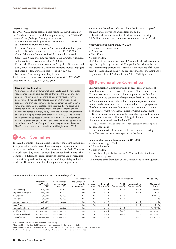#### Directors' fees

The 2019 AGM adopted fees for Board members, the Chairman of the Board and committee work for assignments up to the 2020 AGM. Directors' fees (AGM year) were paid as follows:

- Chairman Sören Mellstig received SEK 600,000 in his capacity as Chairman of Humana's Board.
- Magdalena Gerger, Per Granath, Kirsi Komi, Monica Lingegård and Fredrik Strömholm each received fees of SEK 230,000.
- Chair of the Audit Committee Fredrik Strömholm received SEK 150,000. Audit Committee members Per Granath, Kirsi Komi and Sören Mellstig each received SEK 20,000.
- Chair of the Remuneration Committee Magdalena Gerger received SEK 50,000. Remuneration Committee members Monica Lingegård and Sören Mellstig were each paid fees of SEK 12,500.
- No directors' fees were paid to Lloyd Perry.

Total remuneration for Board and committee work in 2019–2020 amounted to SEK 2,035,000 (1,997,500).

#### Board diversity policy

As a group, members of Humana's Board should have the right expertise, experience and background to contribute to the Company's development. The aim is for the Board to consist of members of varying ages, with both male and female representation, from varied geographical and ethnic backgrounds and complementing each other in terms of educational and professional backgrounds. The objective is for the Board to contribute independent and critical challenges. The Board has adopted a diversity policy, which the Nomination Committee considers in the preparation of its proposal for the AGM. The Nomination Committee also bases its work on Section 4.1 of the Swedish Corporate Governance Code. In 2017 and 2018, Humana was awarded the AllBright prize for the Company's proactive gender equality work The Company was also nominated for the AllBright prize in 2019.

## 5 Audit Committee

The Audit Committee's main task is to support the Board in fulfilling its responsibilities in the areas of financial reporting, accounting, auditing, internal control and risk management. The Audit Committee works according to rules of procedure defined by the Board. The Committee's duties also include reviewing internal audit procedures, and scrutinising and monitoring the auditor's impartiality and independence. The Audit Committee has regular meetings with the

auditors in order to keep informed about the focus and scope of the audit and observations arising from the audit.

In 2019, the Audit Committee held five minuted meetings. All Audit Committee meetings have been reported to the Board.

#### Audit Committee members 2019–2020

- Fredrik Strömholm, Chair
- Per Granath
- Kirsi Komi
- Sören Mellstig

The Chair of the Committee, Fredrik Strömholm, has the accounting expertise required by the Swedish Companies Act. All members of the Committee apart from Per Granath are independent of the Company. Per Granath and Kirsi Komi are independent of the Company's largest owner; Fredrik Strömholm and Sören Mellstig are not.

## 6 Remuneration Committee

The Remuneration Committee works in accordance with rules of procedure adopted by the Board of Directors. The Remuneration Committee's main tasks are to submit proposals to the Board on remuneration and conditions of employment for the President and CEO, and remuneration policies for Group management, and to monitor and evaluate current and completed incentive programmes. The Committee also makes decisions on remuneration and conditions of employment for other members of Group management.

Remuneration Committee members are also responsible for monitoring and evaluating application of the guidelines for remuneration of senior executives adopted by the AGM.

The Committee is also responsible for succession planning and talent management.

The Remuneration Committee held three minuted meetings in 2019. The meetings have been reported to the Board.

#### Remuneration Committee members 2019–2020

- Magdalena Gerger, Chair
- Monica Lingegård
- Sören Mellstig
- Lloyd Perry (up to 12 November 2019, when he left the Board at his own request)

All members are independent of the Company and its management.

#### Remuneration, Board attendance and shareholdings 2019

|                                 |                                             |                                            | Independent of                       |                           | Attendance at meetings with |                          |                               | 31 Dec 2019                       |  |
|---------------------------------|---------------------------------------------|--------------------------------------------|--------------------------------------|---------------------------|-----------------------------|--------------------------|-------------------------------|-----------------------------------|--|
|                                 | Director's fee<br>(AGM year),<br><b>SEK</b> | Remuneration<br>for committee<br>work, SEK | the Company<br>and its<br>management | the<br>principal<br>owner | Board of<br>Directors (9)   | Audit<br>Committee (5)   | Remuneration<br>Committee (3) | Number of<br>shares <sup>4)</sup> |  |
| Sören Mellstig <sup>1)</sup>    | 600,000                                     | 32,500                                     | Yes                                  | No.                       | $5$ of $5$                  | $3$ of $3$               | $2$ of $2$                    | 100,000                           |  |
| Magdalena Gerger <sup>1)</sup>  | 230,000                                     | 50,000                                     | Yes                                  | Yes                       | $5$ of $5$                  | $\overline{\phantom{a}}$ | $2$ of $2$                    | 5,400                             |  |
| Per Granath                     | 230,000                                     | 20,000                                     | <b>No</b>                            | Yes                       | 9 <sub>of</sub> 9           | $5$ of $5$               | -                             | 1,994,610                         |  |
| Kirsi Komi                      | 230,000                                     | 20,000                                     | Yes                                  | Yes                       | 9 <sub>of</sub> 9           | $5$ of $5$               |                               | 6,496                             |  |
| Monica Lingegård                | 230,000                                     | 12,500                                     | Yes                                  | Yes                       | 9 <sub>of</sub> 9           |                          | $3$ of $3$                    | 1,500                             |  |
| Lloyd Perry <sup>2)</sup>       |                                             |                                            | Yes                                  | Yes                       | 7 of 8                      |                          | of 3                          | 6,163,790                         |  |
| Fredrik Strömholm <sup>1)</sup> | 230,000                                     | 150,000                                    | Yes                                  | No.                       | $5$ of $5$                  | $3$ of $3$               | -                             | 10,630,000                        |  |
| Per Båtelson <sup>3)</sup>      | not current year                            | not current year                           | Yes                                  | Yes                       | $4$ of $4$                  | $2$ of $2$               | of 1                          | not relevant                      |  |
| Helen Fasth Gillstedt 3)        | not current year                            | not current year                           | Yes                                  | Yes                       | $3$ of $4$                  | $2$ of $2$               |                               | not relevant                      |  |
| Ulrika Östlund <sup>3)</sup>    | not current year                            | not current year                           | Yes                                  | Yes                       | $4$ of $4$                  | $\overline{\phantom{0}}$ | of 1                          | not relevant                      |  |

1) Joined the Board of Directors after the AGM 2019 (May 9).

2) Resigned from the Board of Directors at his own request the 12 November 2019.

3) Resigned from the Board of Directors at his/her own request in conjunction with the AGM 2019 (May 9)

4) Total shareholding – own, through related parties, endowment insurance and in companies.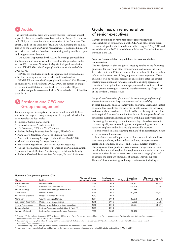## **7** Auditor

The external auditor's tasks are to assess whether Humana's annual report has been prepared in accordance with the Annual Accounts Act and IFRS, and to examine the administration of the Company. The external audit of the accounts of Humana AB, including the administration by the Board and Group Management, is performed in accordance with International Standards on Auditing and generally accepted auditing practice in Sweden.

The auditor is appointed by the AGM following a proposal from the Nomination Committee and is elected for the period up to the next AGM. Humana's AGM on 9 May 2019 adopted a resolution to elect KPMG AB as the Company's auditor until the end of the 2020 AGM.

KPMG has conducted its audit engagement and provided some related accounting advice, but no other additional services.

KPMG AB has been the Company's auditor since 2008. However, as Humana was not listed until 2016, KPMG can remain in charge of the audit until 2026 and then be elected for another 10 years.

Authorised public accountant Helena Nilsson has been chief auditor since 2018.

## 8 President and CEO and Group management

Group management comprises Humana's President and CEO and nine other managers. Group management has a gender distribution of six females and four males.

Members of Group management:

- Rasmus Nerman, President and CEO
- Ulf Bonnevier, CFO and Vice President
- Anders Broberg, Business Area Manager, Elderly Care
- Anna Giertz Skablova, Director of Human Resources
- Anu Kallio, Country Manager, Finland (from March 2020)
- Mona Lien, Country Manager, Norway
- Eva Nilsson Bågenholm, Director of Quality Assurance
- Helena Pharmanson, Director of Marketing and Communication
- Johanna Rastad, Business Area Manager, Individual & Family
- Andreas Westlund, Business Area Manager, Personal Assistance

### Guidelines on remuneration of senior executives

#### Current guidelines on remuneration of senior executives

The guidelines on remuneration of the CEO and other senior executives were adopted at the Annual General Meeting on 9 May 2019 and are valid until the 2020 Annual General Meeting. The guidelines are shown in Note G5.

#### Proposal for a resolution on guidelines for salary and other remuneration

The Board proposes that the general meeting resolve on the following guidelines for salary and other remuneration to directors, the Chief Executive Officer (CEO) and other senior executives. Senior executives refer to senior executives of the group executive management. These guidelines will be valid for agreements entered into after the general meeting's resolution and for changes made to existing agreements thereafter. These guidelines do not apply to any director fees decided by the general meeting or issues and transfers covered by Chapter 16 of the Swedish Companies Act.

*The guidelines' promotion of Humana's business strategy, fulfilment of financial objectives and long-term interests and sustainability* In short, Humana's business strategy is the following. Everyone is entitled to a good life. In order for the society to be able to meet the increasing and more difficult needs of the Nordic welfare, a diversity of practitioners is required. Humana's ambition is to be the obvious provider of care services for customers, clients and buyers with high quality standards. The strategy for reaching the ambition each day is based on four objective areas: quality operations, long-term and profitable growth, to be an attractive employer and to be a socially responsible provider.

For more information regarding Humana's business strategy, please see https://www.humana.se/

It is of fundamental importance to Humana and its shareholders that these guidelines, in both a short- and long-term perspective, create good conditions to attract and retain competent employees. The purpose of these guidelines is to increase transparency in remuneration issues and through well thought-out remuneration structures create incentives for senior executives to execute strategic plans and to achieve the company's financial objectives. This will support Humana's business strategy and long-term interests, including its

#### Humana's Group management 2019

| Name                  | Position                                                 | Member of Group<br>management since | Employed by<br>Humana since | Shares held<br>31 December 2019 3) | Number of warrants<br>31 December 2019 4) |
|-----------------------|----------------------------------------------------------|-------------------------------------|-----------------------------|------------------------------------|-------------------------------------------|
| Rasmus Nerman         | President and CEO                                        | 2014                                | 2014                        | 169,161                            | 79,872                                    |
| Ulf Bonnevier         | Executive Vice President/CFO                             | 2012                                | 2012                        | 168,436                            | 63,897                                    |
| Anders Broberg        | Business Area Manager, Elderly Care                      | 2018                                | 2018                        | 780                                |                                           |
| Claus Forum           | Director of Sales <sup>1)</sup>                          | 2014                                | 2011                        | 160,436                            | 45,931                                    |
| Anna Giertz Skablova  | Director of Human Resources                              | 2017                                | 2017                        |                                    |                                           |
| Mona Lien             | Country Manager, Norway                                  | 2014                                | 2014                        | 19,578                             | 35,942                                    |
| Eva Nilsson Bågenholm | Director of Quality Assurance                            | 2015                                | 2015                        | 3,682                              | 7,987                                     |
| Helena Pharmanson     | Director of Marketing and Communications                 | 2010                                | 2010                        | 96,504                             | 38,011                                    |
| Johanna Rastad        | Business Area Manager, Individual & Family <sup>2)</sup> | 2019                                | 2018                        |                                    |                                           |
| Andreas Westlund      | Business Area Manager, Personal Assistance               | 2018                                | 2009                        | 22,110                             |                                           |

<sup>1)</sup> Director of Sales as from September 2019 to January 2020, when Claus Forum also resigned from the Group Management. Previously he was Business Area Manager, Individual & Family and part of Group Management.

2) Business Area Manager, Individual & Family, as from September 2019. Previously, as from January 2019, Johanna Rastad was Director of Business Development and part of Group Management.

3) Total shareholding – own, through related parties, endowment insurance and in companies.

4) The warrants held refers to the third and last part of the warrant programme, with subscription price SEK 80.60 and expiring 31 March 2020.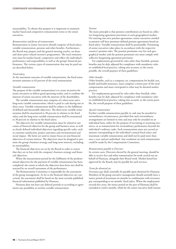sustainability. To obtain this purpose it is important to maintain market based and competitive remuneration terms to the senior executives.

#### *Remuneration and forms of remuneration*

Remuneration to senior executives should comprise of fixed salary, variable remuneration, pension and other benefits. Furthermore, the Board may prepare and the general meeting resolve, on share and share-price related incentive programmes. The total remuneration must be market based, competitive and reflect the individual's performance and responsibility as well as the group's financial performance. The various types of remuneration that may be paid out are described below.

#### *Fixed salary*

At the maximum outcome of variable remuneration, the fixed remuneration amounts to 63 percent of the total remuneration.

#### *Variable remuneration*

The purpose of the variable remuneration is to create incentives for senior executives to deliver good operating results, and to combine the interests of senior executives with the interests of the shareholders.

The variable remuneration may comprise of a short-term and a long-term variable remuneration, which is paid in cash during one or three years. Variable remuneration shall be subject to the fulfilment of defined and measurable objectives. The short-term variable remuneration shall be maximized to 30 percent in relation to the fixed salary and the long-term variable remuneration shall be maximized to 30 percent in relation to the fixed salary.

The objectives for variable remuneration must be related to outcomes of financial objective for the group and business areas, as well as clearly defined individual objectives regarding specific tasks, such as customer satisfaction, project outcomes and environmental and social impact. The latter are used to ensure focus on non-financial objectives of certain interest. The objectives must be designed to promote the group's business strategy and long-term interests, including its sustainability.

The financial objectives are set by the Board in order to ensure that they are in line with the company's business strategy and financial objectives.

When the measurement period for the fulfilment of the predetermined objectives for the payment of variable remuneration has been completed, the extent to which the objectives have been met shall be assessed by an overall assessment of the performance.

The Remuneration Committee is responsible for the assessment of the group management. As far as the financial objectives are concerned, the assessment shall be based on the most recently published financial information published by Humana.

Humana does not have any deferral periods or according to agreements any possibility to reclaim variable remuneration.

#### *Pension*

The main principle is that pension contributions are based on collective bargaining agreement provisions in each geographical market. On entering into new pension agreements, senior executives entitled to pension will have premium defined pension agreements based on fixed salary. Variable remuneration shall be pensionable. Pensioning of senior executives takes place in accordance with the respective country's pension rules. The pension premiums vary for each geographical market and the pension premiums size must comply with collective bargaining agreement provisions.

For employments governed by rules other than Swedish, pension benefits may be duly adjusted for compliance with mandatory rules or established local practice, taking into account, to the extent possible, the overall purpose of these guidelines.

#### *Other benefits*

Other benefits, such as a company car, compensation for health care, health and health insurance, must comprise a minor part of the total compensation and must correspond to what may be deemed market practice.

For employments governed by rules other than Swedish, other benefits may be duly adjusted for compliance with mandatory rules or established local practice, taking into account, to the extent possible, the overall purpose of these guidelines.

#### *Special remuneration*

Further variable remuneration payable in cash may be awarded in extraordinary circumstances, provided that such extraordinary arrangements are limited in time and may only be awarded on an individual basis, either for the purpose of recruiting or retaining executives, or as remuneration for extraordinary performance beyond the individual's ordinary tasks. Such remuneration must not exceed an amount corresponding to the individual's annual fixed salary and maximum variable remuneration and shall not be paid more than once a year and per individual. Any resolution on such remuneration could be made by the Compensation Committee.

#### *Remuneration payable to Directors*

In certain cases, Directors elected by the general meeting, should be able to receive fees and other remuneration for work carried out on behalf of Humana, alongside their Board work. Market-based fees approved by the Board, may be payable for such services.

#### *Terms for dismissal etc.*

Severance pay shall, normally, be payable upon dismissal by Humana. Members of the group executive management should normally have a notice period of maximum six months in combination with severance pay corresponding to six months' fixed salary. When the employment exceeds five years, the notice period on the part of Humana shall be extended to twelve months, while for the senior executive shall remain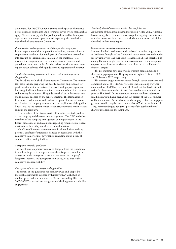six months. For the CEO, upon dismissal on the part of Humana, a notice period of six months and a severance pay of twelve months shall apply. No severance pay shall be paid upon dismissal by the employee. Agreements on severance pay are made separately after resolution made by the Remuneration Committee.

*Remuneration and employment conditions for other employees* In the preparation of this proposal for guidelines, remuneration and employment conditions for employees of Humana have been taken into account by including information on the employees' total income, the components of the remuneration and increase and growth rate over time, in the Board's basis of decision when evaluating the reasonableness of the guidelines and appurtenant limitations.

#### *The decision-making process to determine, review and implement the guidelines*

The Board has established a Remuneration Committee. The committee's tasks include preparing the Board's decision on proposals for guidelines for senior executives. The Board shall prepare a proposal for new guidelines at least every fourth year and submit it to the general meeting for adoption. The guidelines shall be in force until new guidelines are adopted by the general meeting. The Remuneration Committee shall monitor and evaluate programs for variable remuneration for the company management, the application of the guidelines as well as the current remuneration structures and remuneration levels in the company.

The members of the Remuneration Committee are independent of the company and the company management. The CEO and other members of the company management do not participate in the Board' processing of and resolutions regarding remuneration-related matters in so far as they are affected by such matters.

Conflicts of interest are counteracted in all resolutions and any potential conflicts of interest are handled in accordance with the company's framework for governance, consisting out of a code of conduct, policies and guidelines.

#### *Derogation from the guidelines*

The Board may temporarily resolve to derogate from the guidelines, in whole or in part, if in a specific case there is special cause for the derogation and a derogation is necessary to serve the company's long-term interests, including its sustainability, or to ensure the company's financial viability.

#### *Description of material changes to the guidelines*

The content of the guidelines has been reviewed and adapted to the legal requirements imposed by Directive (EU) 2017/828 of the European Parliament and of the Council amending Directive 2007/36/ EC as regards encouragement of the long-term shareholder engagement.

#### *Previously decided remuneration that has not fallen due*

At the time of the annual general meeting on 7 May 2020, Humana has no unregulated remunerations, except for ongoing commitments to senior executives in accordance with the remuneration principles described in the annual report.

#### Share-based incentive programmes

Humana has had two long-term share-based incentive programmes in 2019: one for eight of the Company's senior executives and another for key employees. The purpose is to encourage a broad shareholding among Humana employees, facilitate recruitment, retain competent employees and increase motivation to achieve or exceed Humana's financial targets.

The programmes have comprised a warrant programme and a share savings programme. The programmes expired 31 March 2020 and 31 January 2020, respectively.

The warrant programme was set up for eight senior executives and comprised a total of 1,440,420 warrants. The remaining warrants amounted to 480,140 at the end of 2019, and entitled holders to subscribe for the same number of new Humana shares at a subscription price of SEK 80.60. If the maximum amount had been subscribed for, dilution would have been about 0.9 percent of the total number of Humana shares. At full allotment, the employee share savings programme would comprise a maximum of 61,667 shares at the end of 2019, corresponding to about 0.1 percent of the total number of shares outstanding in the Company.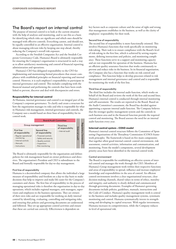### The Board's report on internal control

The purpose of internal control is to look at the current situation with the help of analyses and monitoring, and to use this as a basis for identifying which risks are significant and which ones should be managed with effective controls. Everything cannot, and should not, be equally controlled in an effective organisation. Internal control is about managing relevant risks by keeping one step ahead, thereby reducing the Company's overall risk exposure.

According to the Swedish Companies Act and the Swedish Corporate Governance Code, Humana's Board is ultimately responsible for ensuring the Company's organisation is structured in such a way as to allow satisfactory monitoring and control of financial reporting, administration and operations.

Humana's CEO has delegated responsibility to the CFO for implementing and maintaining formal procedures that ensure compliance with established principles on financial reporting and internal control. However, it is each employee's responsibility to participate in internal governance and control. This includes complying with the financial manual and performing the controls that have been established to prevent, discover and deal with discrepancies and errors.

#### Responsibility for internal control

At Humana, internal governance and control is an integral part of the Company's corporate governance. To clarify and create a structure for how the organisation manages its risks and who is responsible for what in Humana's risk management, internal governance and controls, the Company uses a model based on three lines of responsibility for its control work.



The Board is ultimately responsible for the organisation and defines policies for risk management based on owner preferences and directives. The organisation's President and CEO is subordinate to the Board and formally responsible for day-to-day management.

#### First line of responsibility

Humana is a decentralised company that allows the individual a large measure of responsibility and freedom on a day-to-day basis to make decisions that help to improve and make life easier for the Company's customers and clients. The first line of responsibility in the process of managing operational risks is therefore the organisation in day-to-day operations, which includes regional managers, unit managers, supervisors and employees in the business operations. They are owners of their own risks and are responsible for working on daily internal control by identifying, evaluating, controlling and mitigating risks, and ensuring that policies and governing documents are understood and followed. They set up appropriate control activities and ensure that these are carried out correctly. Effectiveness is dependent on

key factors such as corporate culture and the sense of right and wrong that management establishes in the business, as well as the clarity of employees' responsibility for their work.

#### Second line of responsibility

The second line of responsibility is more functionally oriented. This involves Humana's functions that work specifically on monitoring risk-taking. Their task is to ensure compliance with the Board's level of risk-taking in the first line, which is achieved by setting requirements, defining instructions and policies, and monitoring compliance. These functions serve in a support and monitoring capacity and are not responsible for operation of the business. Humana has an efficient quality assurance function that works continuously to prevent and reduce risks in the business. In its financial organisation, the Company also has a function that works on risk control and compliance. This function helps to develop processes related to risk management and internal governance and control and is responsible for monitoring the work of the first line.

#### Third line of responsibility

The third line includes the internal audit function, which works on behalf of the Board and reviews the work of the first and second lines. Humana's internal control is conducted through internal monitoring and self-assessment. The results are reported to the Board. Based on the Audit Committee's assessment, the Board has decided against appointing a separate internal audit function. The Company believes that the stronger quality management system and the controls in each business area and in the financial function provide the required control and monitoring. The Board assesses the need for an internal audit function every year.

#### Internal control system – COSO model

Humana's internal control structure follows the Committee of Sponsoring Organisations of the Threadway Commission (COSO) framework principles. The framework is based on five main components that together allow good internal control: control environment, risk assessment, control activities, information and communication, and monitoring. From the model's components, several development priority areas have been identified in the internal control work.

#### Control environment

The Board is responsible for establishing an effective system of internal control and manages the work through the CEO. Members of Humana's Group management work within their respective functions and areas of responsibility to spread, influence and increase employees' knowledge and responsibilities in the area of control. An efficient control environment involves a clear organisational structure, clear decision-making channels, shared values in terms of ethics, morality and integrity, and authority is clearly defined and communicated through governing documents. Examples of Humana's governing documents include policies, guidelines, manuals, instructions and the Code of Conduct. Humana's quality management work is central to the business and includes quality management systems, systematic monitoring and control. Humana systematically invests in strengthening and developing its capital structure. With regular investments, Humana increases its competitiveness, while the Company reduces its level of operational risk.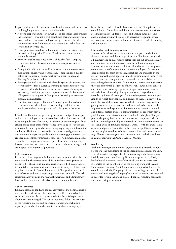Important elements of Humana's control environment and the process of building long-term structural capital include:

- A strong corporate culture with well-grounded values that permeate the Company – Through a well-established corporate culture with shared values, Humana's employees are given a clear direction and mandate to work on personalised interaction with a focus on solutions in everyday life.
- Clear guidelines on ethics and morality To further strengthen the work, a Group-wide Code of Conduct has been drawn up and implemented.
- Extensive quality-assurance work at all levels of the Company – Implementation of a common quality management system continues.
- Group-wide policies in several key areas such as employees, communication, diversity and transparency. These include a quality policy, environmental policy, work environment policy, and diversity & inclusion policy.
- An organisational structure with clear delegation of authority and responsibility – HR is currently working to harmonise employee processes within the Group and ensure succession planning for top managers and key positions. Implementation of a Group-wide HR system is in progress. A Group-wide leadership development programme has started.
- Constant skills supply Humana Academy provides traditional training and web-based interactive training, both for its own employees and for municipalities and colleagues in the sector.

In addition, Humana has governing documents designed to support and help all employees to act in accordance with Humana's internal rules and guidelines. Governing documents on accounting and financial reporting cover areas of importance in working to establish correct, complete and up-to-date accounting, reporting and information disclosure. The financial manual is Humana's central governance document with respect to guidelines for achieving good internal governance and control over financial reporting. As Humana is an acquisition-driven company, an essential part of the integration process involves ensuring that values and the control environment in general are aligned with Humana's guidelines.

#### Risk assessment

Risks and risk management in Humana's operations are described in more detail in the section entitled Risks and risk management on pages 56-61. The specific financial risks are described in more detail in note G19. Humana continuously updates its analysis of risks that may lead to errors in financial reporting. A Group-wide analysis of risks of errors in financial reporting is conducted annually. The risk reviews identify items in the financial statements and administrative flows and processes where the risk of errors is more substantial.

#### Control activities

Humana regularly conducts control activities for the significant risks that have been identified. The Company's CFO is responsible for ensuring that identified risks associated with financial reporting at Group level are managed. The control activities follow the structure of the reporting process and financial organisation. Each unit's reporting is validated and checked in the local accounting stage

before being transferred to the business areas and Group finance for consolidation. Controllers and financial managers in each business area make budgets, update forecasts and analyse outcomes. The checks and reports may be subject to special investigations where necessary. All business areas submit their financial results in monthly written reports.

#### Information and Communication

Humana's Board receives monthly financial reports on the Group's financial position and financial performance. The Board deals with all quarterly and annual reports before they are published externally and monitors the audit of internal control and financial reports. Humana's communication and information channels enable prompt communication of information to relevant employees. Governing documents in the form of policies, guidelines and manuals, in the case of financial reporting, are primarily communicated through the intranet and the Group's financial manual. The financial manual is updated regularly as required. In addition to written communication, there are also verbal discussions of news, risks, outcomes of controls and other matters during regular meetings. Communication also takes the form of monthly closing accounts meetings which are attended by financial managers. Individual employees have a responsibility to report discrepancies and deviations that are discovered in controls, even if they have been remedied. The aim is to provide a good picture of how the work is conducted and to be able to make improvements to the processes. For communication with internal and external parties, there is a communication policy which provides guidelines on how this communication should take place. The purpose of the policy is to ensure full and correct compliance with all information obligations. Up-to-date information is communicated to external parties on Humana's financial website, with the publication of news and press releases. Quarterly reports are published externally and are supplemented by webcasts, presentations and investor meetings. There is also an agenda for communication with shareholders in connection with the Annual General Meeting.

#### **Monitoring**

Each unit manager and financial organisation is ultimately responsible for ongoing monitoring of the financial information for the unit. The information undergoes further monitoring at the business area level, by corporate functions, by Group management and finally by the Board. A compilation of identified actions and their status is reported to the Board as part of the ongoing work of the Audit Committee. Humana's Audit Committee is responsible for ensuring compliance with the Company's financial reporting and internal control and ensuring the Company's financial statements are prepared in accordance with the law, applicable financial reporting standards and other listing requirements.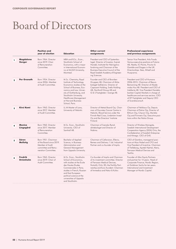## Board of Directors

|              |                             | <b>Position and</b><br>year of election                                                                          | <b>Education</b>                                                                                                                                                                                                                                            | Other current<br>assignments                                                                                                                                                                                                              | <b>Professional experience</b><br>and previous assignments                                                                                                                                                                                                                                                                |
|--------------|-----------------------------|------------------------------------------------------------------------------------------------------------------|-------------------------------------------------------------------------------------------------------------------------------------------------------------------------------------------------------------------------------------------------------------|-------------------------------------------------------------------------------------------------------------------------------------------------------------------------------------------------------------------------------------------|---------------------------------------------------------------------------------------------------------------------------------------------------------------------------------------------------------------------------------------------------------------------------------------------------------------------------|
| 1            | Magdalena<br>Gerger         | Born 1964. Director<br>since 2019. Chair<br>of Remuneration<br>Committee.                                        | MBA and B.Sc., Econ.,<br>Stockholm School of<br>Economics, with a major<br>in International Econom-<br>ics at McGill University,<br>Montreal.                                                                                                               | President and CEO of Systembo-<br>laget. Director of Investor, Svensk<br>Handel, Institutet för Näringslivs-<br>forskning and Chairman of the<br>Business Executive Council of the<br>Royal Swedish Academy of Engineer-<br>ing Sciences. | Senior Vice President, Arla Foods.<br>Various executive positions at Futoria<br>AB, Nestle, ICI Paints, Proctor &<br>Gamble and Diageo in the UK.<br>Directorships: Ikea, Ahlsell and<br>Husqvarna.                                                                                                                       |
| $\mathbf{2}$ | <b>Per Granath</b>          | Born 1954. Director<br>since 2006. Member<br>of Audit Committee.                                                 | M.Sc. Chemistry, Royal<br>Institute of Technology.<br>Economics studies at the<br>School of Business, Eco-<br>nomics and Law, Univer-<br>sity of Gothenburg, and<br>Stockholm University.<br>Healthcare Management<br>at Harvard Business<br>School, Paris. | Founder and CEO of Broviken<br>Gruppen AB, Chairman of Aktie-<br>bolaget Salktennis. Director of<br>Capacent Holding, Svefa Holding<br>AB, Northmill Group AB and<br>G & S Fastigheter i Sverige AB.                                      | President and CEO of Humana<br>2006-2015. Chairman of Resurs<br>Bemanning AB. Director of Akade-<br>miska Hus AB. President and CEO of<br>Intellecta AB. Vice President Handels-<br>banken Capital Markets in charge of<br>healthcare and services sectors. CEO<br>of KF Fastigheter and Deputy CEO<br>of Scandiaconsult. |
| 3            | <b>Kirsi Komi</b>           | Born 1963. Director<br>since 2017. Member<br>of Audit Committee.                                                 | LL.M Master of Laws,<br>University of Helsinki.                                                                                                                                                                                                             | Director of Metsä Board Oyj. Chair-<br>man of Docrates Cancer Centre in<br>Helsinki, Blood Service under the<br>Finnish Red Cross, Lindström Invest<br>Oy and the Directors' Institute<br>Finland.                                        | Chairman of Veikkaus Oy, Deputy<br>Chairman of Patria Oyj, Director of<br>Bittium Oyj, Citycon Oyj, Martela<br>Oyj and Finnvera Oyj. Executive posi-<br>tions within the Nokia Group.                                                                                                                                     |
| 4            | Monica<br>Lingegård         | Born 1962, Director<br>since 2017. Member<br>of Remuneration<br>Committee.                                       | M.Sc. Econ., Stockholm<br>University. CEO of<br>Samhall AB.                                                                                                                                                                                                 | Chairman of Svenska Rymd-<br>aktiebolaget and Director of<br>Nobina.                                                                                                                                                                      | Director of Wireless Maingate,<br>Swedish International Development<br>Cooperation Agency (SIDA) Orio, the<br>Confederation of Swedish Enterprise<br>and Almega. CEO of G4S.                                                                                                                                              |
| 5            | Sören<br><b>Mellstig</b>    | Born 1951. Chairman<br>of the Board since 2019.<br>Member of Audit<br>committee and Remu-<br>neration Committee. | <b>Bachelor of Applied</b><br>Science, in Business<br>Administration and<br>General Management<br>from Uppsala University.                                                                                                                                  | Chairman of Cellavision, Ellevio,<br>Remeo and Delivery 1 Ltd. Industrial<br>Partner and co-founder of Impilo.                                                                                                                            | CEO of Gambro, managerial posi-<br>tions at Akzo Nobel and CFO and<br>Vice President of Incentive, Chairman<br>of Trelleborg, Apotek Hjärtat, Aleris,<br>Ferrosan Medical Devices and<br>Textilia.                                                                                                                        |
| 6            | <b>Fredrik</b><br>Strömholm | Born 1965, Director<br>since 2019. Chair of<br>Audit Committee.                                                  | M.Sc. Econ., Stockholm<br>School of Economics,<br>with studies at the Ecole<br>des Hautes Etudes<br>Commerciales in Paris;<br>studies in French, Russian<br>and East European<br>political science at the<br>universities of Uppsala<br>and Stockholm.      | Co-founder of Impilo and Chairman<br>of its investment committee. Director<br>of Ferrosan Medical Devices,<br>NutraQ, Ortic 3D, the Fertility Part-<br>nership and Euro Accident. Chairman<br>of Immedica and Natur & Kultur.             | Founder of Altor Equity Partners<br>and partner for 14 years. Head of<br>Corporate Finance, Nordic Region,<br>at Goldman Sachs for ten years.<br>International and Investment<br>Manager at Nordic Capital.                                                                                                               |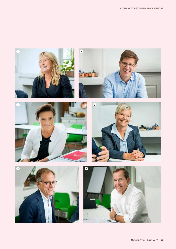









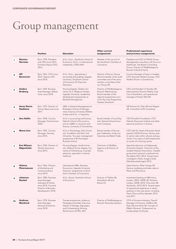# Group management

|                |                                        | <b>Position</b>                                                                                                                   | <b>Education</b>                                                                                                                                           | Other current<br>assignments                                                                                                                                | <b>Professional experience</b><br>and previous assignments                                                                                                                                                                                                                       |  |
|----------------|----------------------------------------|-----------------------------------------------------------------------------------------------------------------------------------|------------------------------------------------------------------------------------------------------------------------------------------------------------|-------------------------------------------------------------------------------------------------------------------------------------------------------------|----------------------------------------------------------------------------------------------------------------------------------------------------------------------------------------------------------------------------------------------------------------------------------|--|
| 1              | <b>Rasmus</b><br><b>Nerman</b>         | Born 1978. President<br>and CEO since 2015.<br>Formerly Deputy CEO,<br>2014.                                                      | M.Sc. Econ., Stockholm School of<br>Economics. M.Sc. in International<br>Leadership, CEMS MIM.                                                             | Member of the council of<br>the Stockholm Chamber of<br>Commerce.                                                                                           | President and CEO of INOM Group.<br>Management consultant, with focus on<br>healthcare, The Boston Consulting<br>Group. Director of Vårdföretagarna<br>Bransch Individ & Familj.                                                                                                 |  |
| $\mathbf{2}$   | Ulf<br><b>Bonnevier</b>                | Born 1964. CFO since<br>2012. Deputy CEO<br>since 2016.                                                                           | M.Sc. Econ., specialising in<br>accounting and auditing, Uppsala<br>University. Stockholm School<br>of Economics IFL Executive<br>Education.               | Director of Karnov Group<br>AB and member of the audit<br>committee and of the remu-<br>neration committee of Kar-<br>nov Group AB.                         | Country Manager of Ipsos in Sweden.<br>CFO Synovate Western Europe. CEO<br>Wolters Kluwer in Scandinavia.                                                                                                                                                                        |  |
| 3              | <b>Anders</b><br><b>Broberg</b>        | Born 1969. Business<br>Area Manager, Elderly<br>Care, since 2018.                                                                 | Nursing Degree, Örebro Uni-<br>versity, M.A. Religious Studies,<br>Uppsala University. Leadership<br>development programmes at<br>Ramboll Management.      | Director of Vårdföretagarna<br>Bransch Äldreomsorg,<br>Board member of the<br>regional programme coun-<br>cil for the Care Programme,<br>Greater Stockholm. | CEO and President of Temabo AB,<br>Administrative Director Elderly Care,<br>City of Stockholm, and operational<br>manager at Poolia Vård AB.                                                                                                                                     |  |
| 4              | <b>Anna Giertz</b><br>Skablova         | Born 1970. Director of<br>Human Resources since<br>2017.                                                                          | MBA in General Management at<br>Rotterdam School of Manage-<br>ment, Erasmus University (Nether-<br>lands) and M.Sc. in linguistics.                       |                                                                                                                                                             | HR Director for Tieto AB and Teligent<br>AB. Consultant at PA Consulting.                                                                                                                                                                                                        |  |
| 5              | <b>Anu Kallio</b>                      | Born 1968. Country<br>Manager, Finland since<br>2020.                                                                             | M.Sc in accounting and finance,<br>Helsinki School of Economics,<br>and an eMBA in insurance and<br>finance, University of Tammerfors.                     | Board member of LocalTap-<br>iola, General Mutual Insur-<br>ance Company.                                                                                   | CEO Rinnekoti Foundation, CFO<br>Helsinki Deacones Institute and other<br>executive positions in finance.                                                                                                                                                                        |  |
| 6              | <b>Mona Lien</b>                       | Born 1962. Country<br>Manager, Norway,<br>since 2015.                                                                             | M.Sc.in Psychology, Oslo Univer-<br>sity, Trondheim and New York<br>University. Two-year management<br>programme at BI Norwegian<br>Business School.       | Board member of Norwe-<br>gian Federation of Service<br>Industries and Retail Trade.                                                                        | CEO Løft AS, Head of Business Devel-<br>opment, INOM Norway. Various pub-<br>lic sector roles within schools and psy-<br>chiatry. Four years of self-employment<br>as owner of a training centre.                                                                                |  |
| $\overline{7}$ | <b>Eva Nilsson</b><br><b>Bågenholm</b> | Born 1960. Director of<br>Quality Assurance<br>since 2015.                                                                        | Nursing Degree, Umeå Univer-<br>sity. Medical Doctor degree, Uni-<br>versity of Gothenburg. Licensed<br>physician, specialist in internal<br>medicine.     | Chairman of Vårdföre-<br>tagarna and Director of<br>Oriola.                                                                                                 | Specialist physician at Sahlgrenska<br>University Hospital. Chairman of the<br>Swedish Medical Association. Swedish<br>government national coordinator for<br>the elderly 2011-2014. Government<br>investigator, Plastic Surgery Study<br>(Skönhetsutredningen) 2015.            |  |
| 8              | Helena<br><b>Pharmanson</b>            | Born 1966. Director<br>of Marketing and<br>Communications<br>since 2010.                                                          | International MBA, Business<br>Economics, Uppsala University.<br>Directors' programme at Stock-<br>holm Chamber of Commerce.                               |                                                                                                                                                             | Sales Director, Pfizer Sverige AB.<br>Various marketing and sales roles at<br>Pfizer and Pharmacia.                                                                                                                                                                              |  |
| 9              | Johanna<br><b>Rastad</b>               | Born 1980. Business<br>Area Manager,<br>Individual & Family<br>since 2019. Formerly<br>Director of Business<br>Development, 2018. | M.Sc. (Econ), Stockholm School<br>of Economics.                                                                                                            | Director of Tilleike AB,<br>Hemsehem AB and<br>Braive AS.                                                                                                   | Investment banking at ABN Amro,<br>London, 2005-2008. BC Partners,<br>London, 2008-2010. Procuritas AB,<br>Stockholm, 2010-2013. Several years<br>of operational experience in senior<br>positions in the care sector, including<br>Team Oliva and Kry between 2013<br>and 2017. |  |
| 10             | <b>Andreas</b><br>Westlund             | Born 1978. Business<br>Area Manager,<br>Personal Assistance<br>since 2018.                                                        | Trainee programme, studies at<br>Företagsuniversitetet, Executive<br>Master of Strategy, Mgruppen,<br>and Orchestrating Winning<br>Performance (OWP), IMD. | Director of Vårdföretagarna<br>Bransch Personlig Assistans.                                                                                                 | CFO of Humana Assistans, Payroll<br>Manager at Humana. Strålfors AB,<br>Elajo AB and Admit AB. Founder of<br>Effektiv Ekonomi. Professional ice<br>hockey player for Brynäs.                                                                                                     |  |